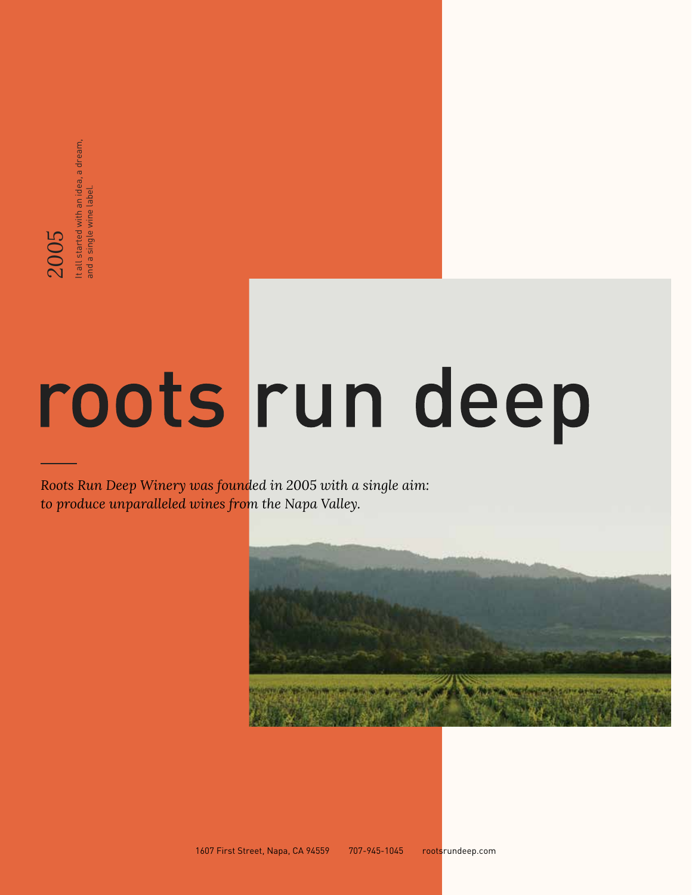# **to provide the property was founded in 2005** with a single aim:<br> *2005* Run Deep Winery was founded in 2005 with a single aim:<br>to produce unparalleled wines from the Napa Valley.

*Roots Run Deep Winery was founded in 2005 with a single aim:* 

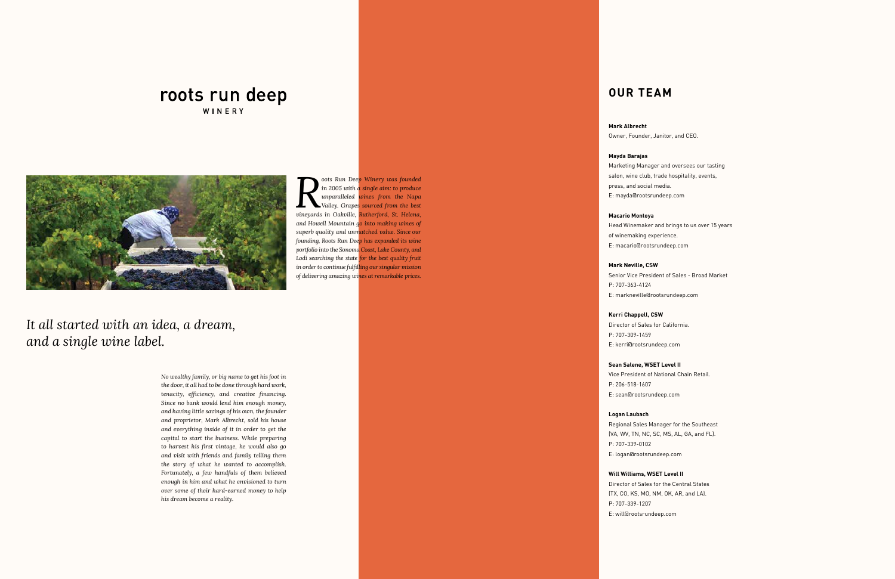**Roots Run Deep Winery was founded** in 2005 with a single aim: to produce unparalleled wines from the Napa Valley. Grapes sourced from the best vineyards in Oakville, Rutherford, St. Helena, *in 2005 with a single aim: to produce unparalleled wines from the Napa Valley. Grapes sourced from the best and Howell Mountain go into making wines of superb quality and unmatched value. Since our founding, Roots Run Deep has expanded its wine portfolio into the Sonoma Coast, Lake County, and Lodi searching the state for the best quality fruit in order to continue fulfilling our singular mission of delivering amazing wines at remarkable prices.*

#### **Mark Albrecht**

Owner, Founder, Janitor, and CEO.

#### **Mayda Barajas**

Marketing Manager and oversees our tasting

salon, wine club, trade hospitality, events, press, and social media. E: mayda@rootsrundeep.com

#### **Macario Montoya**

Head Winemaker and brings to us over 15 years

of winemaking experience. E: macario@rootsrundeep.com

## **Mark Neville, CSW**

Senior Vice President of Sales - Broad Market

P: 707-363-4124 E: markneville@rootsrundeep.com

#### **Kerri Chappell, CSW** Director of Sales for California.

P: 707-309-1459 E: kerri@rootsrundeep.com

#### **Sean Salene, WSET Level II**

Vice President of National Chain Retail. P: 206-518-1607 E: sean@rootsrundeep.com

#### **Logan Laubach**

Regional Sales Manager for the Southeast (VA, WV, TN, NC, SC, MS, AL, GA, and FL). P: 707-339-0102 E: logan@rootsrundeep.com

**Will Williams, WSET Level II** Director of Sales for the Central States (TX, CO, KS, MO, NM, OK, AR, and LA). P: 707-339-1207 E: will@rootsrundeep.com

*No wealthy family, or big name to get his foot in the door, it all had to be done through hard work, tenacity, efficiency, and creative financing. Since no bank would lend him enough money, and having little savings of his own, the founder and proprietor, Mark Albrecht, sold his house and everything inside of it in order to get the capital to start the business. While preparing to harvest his first vintage, he would also go and visit with friends and family telling them the story of what he wanted to accomplish. Fortunately, a few handfuls of them believed enough in him and what he envisioned to turn over some of their hard-earned money to help his dream become a reality.*

#### roots run deep WINERY



*It all started with an idea, a dream, and a single wine label.* 

#### **OUR TEAM**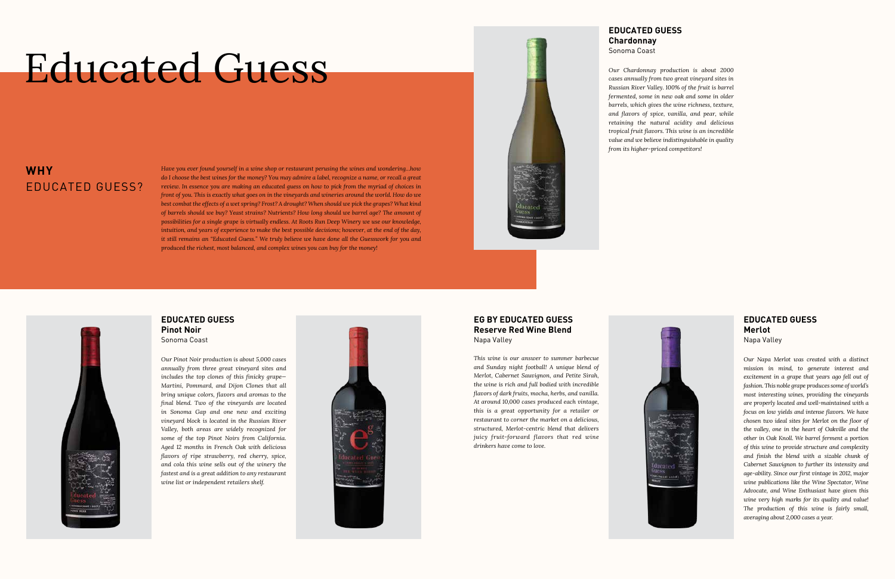## Educated Guess

#### **WHY** EDUCATED GUESS?

#### **EDUCATED GUESS Merlot**

Napa Valley

*Our Napa Merlot was created with a distinct mission in mind, to generate interest and excitement in a grape that years ago fell out of fashion. This noble grape produces some of world's most interesting wines, providing the vineyards are properly located and well-maintained with a focus on low yields and intense flavors. We have chosen two ideal sites for Merlot on the floor of the valley, one in the heart of Oakville and the other in Oak Knoll. We barrel ferment a portion of this wine to provide structure and complexity and finish the blend with a sizable chunk of Cabernet Sauvignon to further its intensity and age-ability. Since our first vintage in 2012, major wine publications like the Wine Spectator, Wine Advocate, and Wine Enthusiast have given this wine very high marks for its quality and value! The production of this wine is fairly small, averaging about 2,000 cases a year.*

*Have you ever found yourself in a wine shop or restaurant perusing the wines and wondering…how do I choose the best wines for the money? You may admire a label, recognize a name, or recall a great review. In essence you are making an educated guess on how to pick from the myriad of choices in front of you. This is exactly what goes on in the vineyards and wineries around the world. How do we best combat the effects of a wet spring? Frost? A drought? When should we pick the grapes? What kind of barrels should we buy? Yeast strains? Nutrients? How long should we barrel age? The amount of possibilities for a single grape is virtually endless. At Roots Run Deep Winery we use our knowledge, intuition, and years of experience to make the best possible decisions; however, at the end of the day, it still remains an "Educated Guess." We truly believe we have done all the Guesswork for you and produced the richest, most balanced, and complex wines you can buy for the money!*



#### **EDUCATED GUESS Chardonnay** Sonoma Coast

*Our Chardonnay production is about 2000 from its higher-priced competitors!*



*cases annually from two great vineyard sites in Russian River Valley. 100% of the fruit is barrel fermented, some in new oak and some in older barrels, which gives the wine richness, texture, and flavors of spice, vanilla, and pear, while retaining the natural acidity and delicious tropical fruit flavors. This wine is an incredible value and we believe indistinguishable in quality* 



#### **EDUCATED GUESS Pinot Noir** Sonoma Coast

*Our Pinot Noir production is about 5,000 cases annually from three great vineyard sites and includes the top clones of this finicky grape— Martini, Pommard, and Dijon Clones that all bring unique colors, flavors and aromas to the final blend. Two of the vineyards are located in Sonoma Gap and one new and exciting vineyard block is located in the Russian River Valley, both areas are widely recognized for some of the top Pinot Noirs from California. Aged 12 months in French Oak with delicious flavors of ripe strawberry, red cherry, spice, and cola this wine sells out of the winery the fastest and is a great addition to any restaurant wine list or independent retailers shelf.*



#### **EG BY EDUCATED GUESS Reserve Red Wine Blend** Napa Valley

*This wine is our answer to summer barbecue and Sunday night football! A unique blend of Merlot, Cabernet Sauvignon, and Petite Sirah, the wine is rich and full bodied with incredible flavors of dark fruits, mocha, herbs, and vanilla. At around 10,000 cases produced each vintage, this is a great opportunity for a retailer or restaurant to corner the market on a delicious, structured, Merlot-centric blend that delivers juicy fruit-forward flavors that red wine drinkers have come to love.*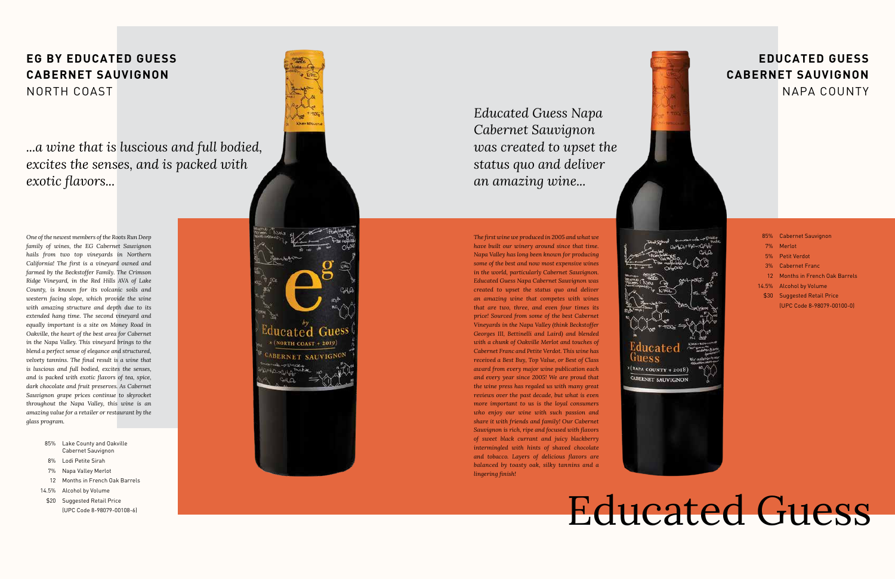*One of the newest members of the Roots Run Deep family of wines, the EG Cabernet Sauvignon hails from two top vineyards in Northern California! The first is a vineyard owned and farmed by the Beckstoffer Family. The Crimson Ridge Vineyard, in the Red Hills AVA of Lake County, is known for its volcanic soils and western facing slope, which provide the wine with amazing structure and depth due to its extended hang time. The second vineyard and equally important is a site on Money Road in Oakville, the heart of the best area for Cabernet in the Napa Valley. This vineyard brings to the blend a perfect sense of elegance and structured, velvety tannins. The final result is a wine that is luscious and full bodied, excites the senses, and is packed with exotic flavors of tea, spice, dark chocolate and fruit preserves. As Cabernet Sauvignon grape prices continue to skyrocket throughout the Napa Valley, this wine is an amazing value for a retailer or restaurant by the glass program.*

- 85% Lake County and Oakville Cabernet Sauvignon
- Lodi Petite Sirah 8%
- Napa Valley Merlot 7%
- 12 Months in French Oak Barrels
- 14.5% Alcohol by Volume
- \$20 Suggested Retail Price (UPC Code 8-98079-00108-6)



## Educated Guess

|      | 85% Cabernet Sauvignon          |
|------|---------------------------------|
|      | 7% Merlot                       |
|      | 5% Petit Verdot                 |
| 3%   | <b>Cabernet Franc</b>           |
|      | 12 Months in French Oak Barrels |
|      | 14.5% Alcohol by Volume         |
| \$30 | <b>Suggested Retail Price</b>   |
|      | (UPC Code 8-98079-00100-0)      |
|      |                                 |

*The first wine we produced in 2005 and what we have built our winery around since that time. Napa Valley has long been known for producing some of the best and now most expensive wines in the world, particularly Cabernet Sauvignon. Educated Guess Napa Cabernet Sauvignon was created to upset the status quo and deliver an amazing wine that competes with wines that are two, three, and even four times its price! Sourced from some of the best Cabernet Vineyards in the Napa Valley (think Beckstoffer Georges III, Bettinelli and Laird) and blended with a chunk of Oakville Merlot and touches of Cabernet Franc and Petite Verdot. This wine has received a Best Buy, Top Value, or Best of Class award from every major wine publication each and every year since 2005! We are proud that the wine press has regaled us with many great reviews over the past decade, but what is even more important to us is the loyal consumers who enjoy our wine with such passion and share it with friends and family! Our Cabernet Sauvignon is rich, ripe and focused with flavors of sweet black currant and juicy blackberry intermingled with hints of shaved chocolate and tobacco. Layers of delicious flavors are balanced by toasty oak, silky tannins and a lingering finish!*

#### **EG BY EDUCATED GUESS CABERNET SAUVIGNON** NORTH COAST

#### **EDUCATED GUESS CABERNET SAUVIGNON** NAPA COUNTY

| ው                        |    |
|--------------------------|----|
|                          |    |
|                          |    |
|                          | έz |
|                          |    |
|                          |    |
|                          |    |
|                          |    |
|                          |    |
| HSO                      |    |
|                          |    |
| ited                     |    |
|                          |    |
|                          |    |
| $+2018)$<br>$_{\rm ITY}$ |    |
| AUVIGNON                 |    |
|                          |    |

Gue (NAPA COU CABERNET



*...a wine that is luscious and full bodied, excites the senses, and is packed with exotic flavors...*

*Educated Guess Napa Cabernet Sauvignon was created to upset the status quo and deliver an amazing wine...*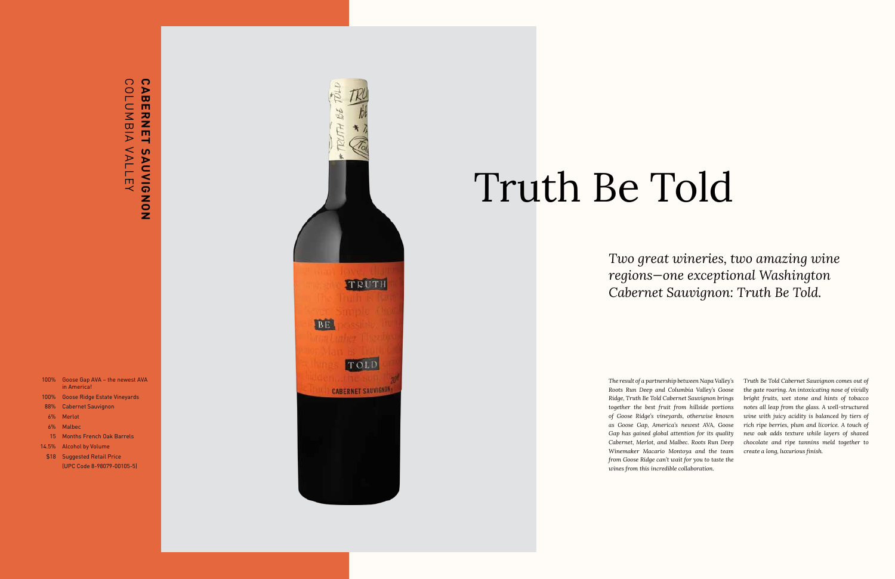*The result of a partnership between Napa Valley's Roots Run Deep and Columbia Valley's Goose Ridge, Truth Be Told Cabernet Sauvignon brings together the best fruit from hillside portions of Goose Ridge's vineyards, otherwise known as Goose Gap, America's newest AVA, Goose Gap has gained global attention for its quality Cabernet, Merlot, and Malbec. Roots Run Deep Winemaker Macario Montoya and the team from Goose Ridge can't wait for you to taste the wines from this incredible collaboration.*

## CABERNET SAUVIG<br>COLUMBIA VALLEY COLUMBIA VALLEY **CABERNET SAUVIGNON**SAUVIGNON

- 100% Goose Gap AVA the newest AVA in America!
- 100% Goose Ridge Estate Vineyards
- Cabernet Sauvignon 88%
- Merlot 6%
- 6% Malbec
- 15 Months French Oak Barrels
- 14.5% Alcohol by Volume
- \$18 Suggested Retail Price (UPC Code 8-98079-00105-5)



*Truth Be Told Cabernet Sauvignon comes out of the gate roaring. An intoxicating nose of vividly bright fruits, wet stone and hints of tobacco notes all leap from the glass. A well-structured wine with juicy acidity is balanced by tiers of rich ripe berries, plum and licorice. A touch of new oak adds texture while layers of shaved chocolate and ripe tannins meld together to create a long, luxurious finish.*

## Truth Be Told

### *Two great wineries, two amazing wine regions—one exceptional Washington Cabernet Sauvignon: Truth Be Told.*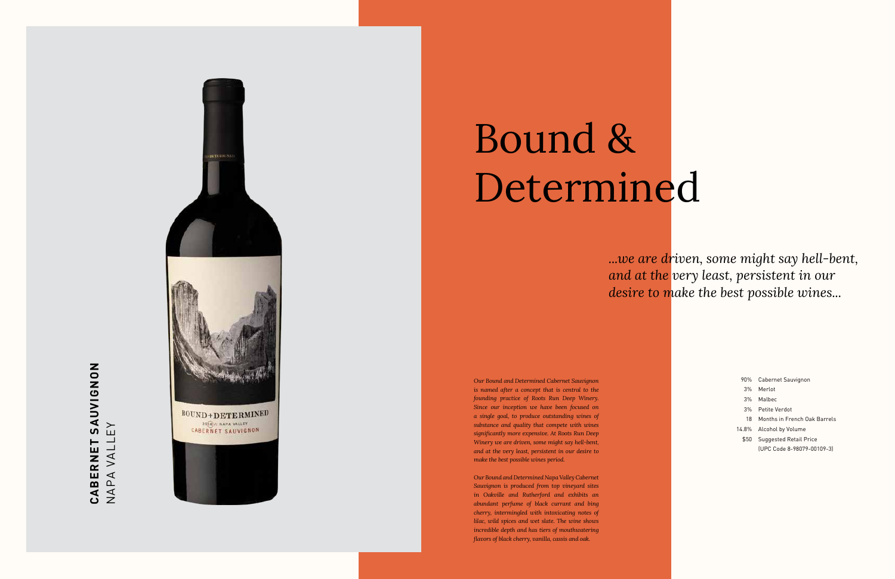*Our Bound and Determined Cabernet Sauvignon is named after a concept that is central to the founding practice of Roots Run Deep Winery. Since our inception we have been focused on a single goal, to produce outstanding wines of substance and quality that compete with wines significantly more expensive. At Roots Run Deep Winery we are driven, some might say hell-bent, and at the very least, persistent in our desire to make the best possible wines period.*

## CABERNET SAUVIGNON **CABERNET SAUVIGNON** NAPA VALLEY NAPA VALLEY



- 90% Cabernet Sauvignon
- 3% Merlot
- 3% Malbec
- 3% Petite Verdot
- 18 Months in French Oak Barrels
- 14.8% Alcohol by Volume
- \$50 Suggested Retail Price (UPC Code 8-98079-00109-3)

*Our Bound and Determined Napa Valley Cabernet Sauvignon is produced from top vineyard sites in Oakville and Rutherford and exhibits an abundant perfume of black currant and bing cherry, intermingled with intoxicating notes of lilac, wild spices and wet slate. The wine shows incredible depth and has tiers of mouthwatering flavors of black cherry, vanilla, cassis and oak.*

## Bound & Determined

### *...we are driven, some might say hell-bent, and at the very least, persistent in our desire to make the best possible wines...*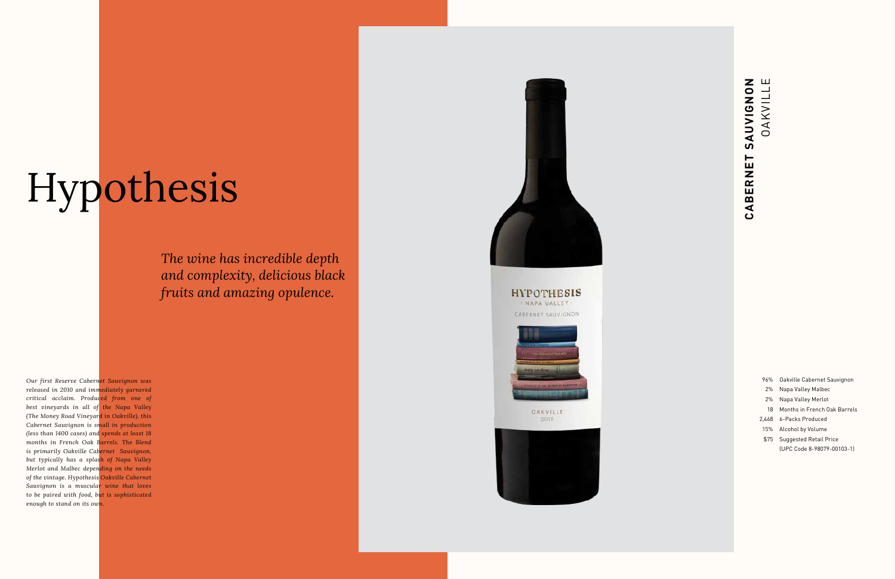*Our first Reserve Cabernet Sauvignon was released in 2010 and immediately garnered critical acclaim. Produced from one of best vineyards in all of the Napa Valley (The Money Road Vineyard in Oakville), this Cabernet Sauvignon is small in production (less than 1400 cases) and spends at least 18 months in French Oak Barrels. The Blend is primarily Oakville Cabernet Sauvignon, but typically has a splash of Napa Valley Merlot and Malbec depending on the needs of the vintage. Hypothesis Oakville Cabernet Sauvignon is a muscular wine that loves to be paired with food, but is sophisticated enough to stand on its own.*

**HYPOTHESIS** . NAPA VALLEY . CABERNET SAUVIGNON



OAKVILLE 2018



## T SAUVIGNON<br>OAKVILLE **CABERNET SAUVIGNON** OAKVILLE CABERNET

- 96% Oakville Cabernet Sauvignon
- 2% Napa Valley Malbec
- 2% Napa Valley Merlot
- 18 Months in French Oak Barrels
- 2,468 6-Packs Produced
- 15% Alcohol by Volume
- \$75 Suggested Retail Price
- (UPC Code 8-98079-00103-1)

# Hypothesis

*The wine has incredible depth and complexity, delicious black fruits and amazing opulence.*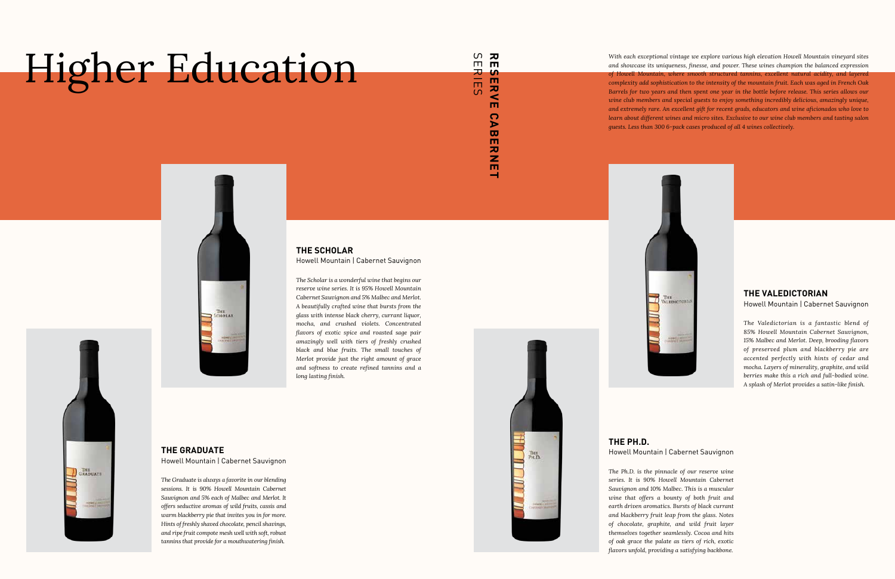*With each exceptional vintage we explore various high elevation Howell Mountain vineyard sites and showcase its uniqueness, finesse, and power. These wines champion the balanced expression of Howell Mountain, where smooth structured tannins, excellent natural acidity, and layered complexity add sophistication to the intensity of the mountain fruit. Each was aged in French Oak Barrels for two years and then spent one year in the bottle before release. This series allows our wine club members and special guests to enjoy something incredibly delicious, amazingly unique, and extremely rare. An excellent gift for recent grads, educators and wine aficionados who love to learn about different wines and micro sites. Exclusive to our wine club members and tasting salon guests. Less than 300 6-pack cases produced of all 4 wines collectively.*



#### **THE SCHOLAR** Howell Mountain | Cabernet Sauvignon

*The Scholar is a wonderful wine that begins our reserve wine series. It is 95% Howell Mountain Cabernet Sauvignon and 5% Malbec and Merlot. A beautifully crafted wine that bursts from the glass with intense black cherry, currant liquor, mocha, and crushed violets. Concentrated flavors of exotic spice and roasted sage pair amazingly well with tiers of freshly crushed black and blue fruits. The small touches of Merlot provide just the right amount of grace and softness to create refined tannins and a long lasting finish.*

**THE GRADUATE** Howell Mountain | Cabernet Sauvignon

**THE**<br>GRADUATE

*The Graduate is always a favorite in our blending sessions. It is 90% Howell Mountain Cabernet Sauvignon and 5% each of Malbec and Merlot. It offers seductive aromas of wild fruits, cassis and warm blackberry pie that invites you in for more. Hints of freshly shaved chocolate, pencil shavings, and ripe fruit compote mesh well with soft, robust tannins that provide for a mouthwatering finish.*



#### **THE VALEDICTORIAN**

Howell Mountain | Cabernet Sauvignon

*The Valedictorian is a fantastic blend of 85% Howell Mountain Cabernet Sauvignon, 15% Malbec and Merlot. Deep, brooding flavors of preserved plum and blackberry pie are accented perfectly with hints of cedar and mocha. Layers of minerality, graphite, and wild berries make this a rich and full-bodied wine. A splash of Merlot provides a satin-like finish.*

#### **THE PH.D.** Howell Mountain | Cabernet Sauvignon

*The Ph.D. is the pinnacle of our reserve wine series. It is 90% Howell Mountain Cabernet Sauvignon and 10% Malbec. This is a muscular wine that offers a bounty of both fruit and earth driven aromatics. Bursts of black currant and blackberry fruit leap from the glass. Notes of chocolate, graphite, and wild fruit layer themselves together seamlessly. Cocoa and hits of oak grace the palate as tiers of rich, exotic flavors unfold, providing a satisfying backbone.*



## Higher Education

#### RESER<br>Serie SERIES **RESERVE CABERNETERV**  $\overline{S}$ m  $\Omega$  $\triangleright$  $\bar{a}$  $\mathbf{m}$  $\overline{z}$

 $\mathbf{m}$ است.